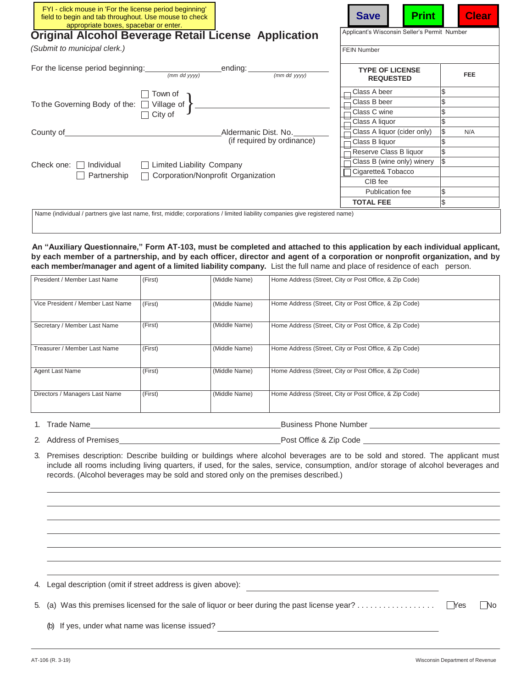| FYI - click mouse in 'For the license period beginning'<br>field to begin and tab throughout. Use mouse to check<br>appropriate boxes, spacebar or enter.                          | <b>Print</b><br><b>Save</b>                  | <b>Clear</b> |  |  |                  |    |
|------------------------------------------------------------------------------------------------------------------------------------------------------------------------------------|----------------------------------------------|--------------|--|--|------------------|----|
| <b>Original Alcohol Beverage Retail License Application</b>                                                                                                                        | Applicant's Wisconsin Seller's Permit Number |              |  |  |                  |    |
| (Submit to municipal clerk.)                                                                                                                                                       | <b>FEIN Number</b>                           |              |  |  |                  |    |
| For the license period beginning: ending: ending: ending:<br>(mm dd yyyy)                                                                                                          | <b>TYPE OF LICENSE</b><br><b>REQUESTED</b>   | <b>FEE</b>   |  |  |                  |    |
| Town of                                                                                                                                                                            | Class A beer                                 | \$           |  |  |                  |    |
| To the Governing Body of the: $\Box$ Village of $\Big\}$                                                                                                                           | Class B beer                                 | \$           |  |  |                  |    |
| City of                                                                                                                                                                            | Class C wine                                 | \$           |  |  |                  |    |
|                                                                                                                                                                                    | Class A liquor                               | \$           |  |  |                  |    |
| County of<br>Aldermanic Dist. No.                                                                                                                                                  | Class A liquor (cider only)                  | \$<br>N/A    |  |  |                  |    |
| (if required by ordinance)                                                                                                                                                         | Class B liquor                               | \$           |  |  |                  |    |
| $\mathcal{S}$<br>Reserve Class B liquor                                                                                                                                            |                                              |              |  |  |                  |    |
| Class B (wine only) winery<br>Check one: $\Box$<br>□ Limited Liability Company<br>Individual<br>Cigarette& Tobacco<br>Corporation/Nonprofit Organization<br>Partnership<br>CIB fee |                                              |              |  |  |                  |    |
|                                                                                                                                                                                    |                                              |              |  |  | Publication fee  | \$ |
|                                                                                                                                                                                    |                                              |              |  |  | <b>TOTAL FEE</b> | \$ |
| Name (individual / partners give last name, first, middle; corporations / limited liability companies give registered name)                                                        |                                              |              |  |  |                  |    |

**An "Auxiliary Questionnaire," Form AT-103, must be completed and attached to this application by each individual applicant, by each member of a partnership, and by each officer, director and agent of a corporation or nonprofit organization, and by each member/manager and agent of a limited liability company.** List the full name and place of residence of each person.

| President / Member Last Name      | (First) | (Middle Name) | Home Address (Street, City or Post Office, & Zip Code) |
|-----------------------------------|---------|---------------|--------------------------------------------------------|
| Vice President / Member Last Name | (First) | (Middle Name) | Home Address (Street, City or Post Office, & Zip Code) |
| Secretary / Member Last Name      | (First) | (Middle Name) | Home Address (Street, City or Post Office, & Zip Code) |
| Treasurer / Member Last Name      | (First) | (Middle Name) | Home Address (Street, City or Post Office, & Zip Code) |
| Agent Last Name                   | (First) | (Middle Name) | Home Address (Street, City or Post Office, & Zip Code) |
| Directors / Managers Last Name    | (First) | (Middle Name) | Home Address (Street, City or Post Office, & Zip Code) |

1. Trade Name **Business Phone Number**Business Phone Number **Example 2018**Business Phone Number **Example 2018**Business Phone Number **Example 2018**Business Phone Number **Example 2018**Business Phone Number **Exam** 

2. Address of Premises Post Office & Zip Code

3. Premises description: Describe building or buildings where alcohol beverages are to be sold and stored. The applicant must include all rooms including living quarters, if used, for the sales, service, consumption, and/or storage of alcohol beverages and records. (Alcohol beverages may be sold and stored only on the premises described.)

4. Legal description (omit if street address is given above): 5. (a) Was this premises licensed for the sale of liquor or beer during the past license year? . . . . . . . . . . . . . . . . . . Yes No (b) If yes, under what name was license issued?